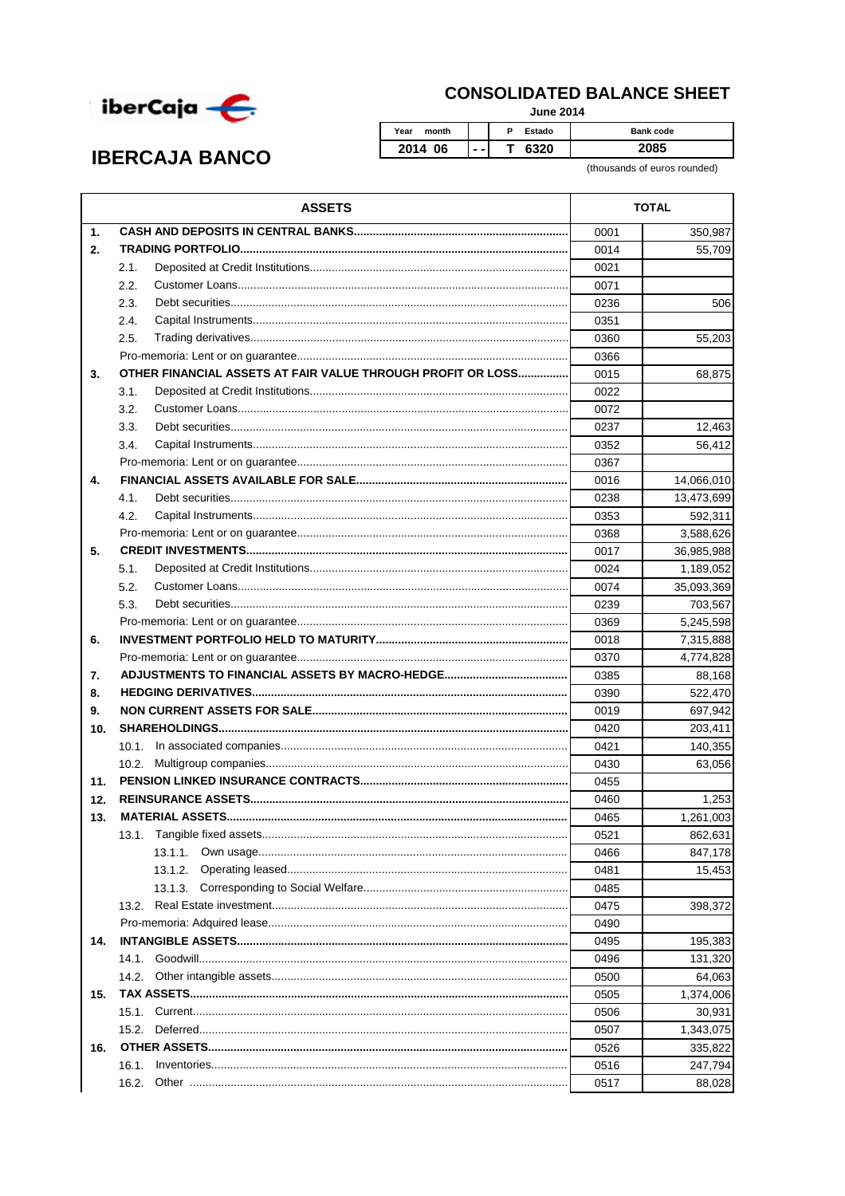

## **CONSOLIDATED BALANCE SHEET**

**June 2014** 

| <b>IBERCAJA BANCO</b> |  |
|-----------------------|--|
|-----------------------|--|

Year month P Estado Bank code 2014 06  $\overline{\mathsf{T}}$ 6320 2085 J.

(thousands of euros rounded)

|                | <b>ASSETS</b>                                               | <b>TOTAL</b> |            |
|----------------|-------------------------------------------------------------|--------------|------------|
| $\mathbf{1}$ . |                                                             | 0001         | 350,987    |
| 2.             |                                                             | 0014         | 55,709     |
|                | 2.1.                                                        | 0021         |            |
|                | 2.2.                                                        | 0071         |            |
|                | 2.3.                                                        | 0236         | 506        |
|                | 2.4.                                                        | 0351         |            |
|                | 2.5.                                                        | 0360         | 55,203     |
|                |                                                             | 0366         |            |
| 3.             | OTHER FINANCIAL ASSETS AT FAIR VALUE THROUGH PROFIT OR LOSS | 0015         | 68,875     |
|                | 3.1.                                                        | 0022         |            |
|                | 3.2.                                                        | 0072         |            |
|                | 3.3.                                                        | 0237         | 12,463     |
|                | 3.4.                                                        | 0352         | 56,412     |
|                |                                                             | 0367         |            |
| 4.             |                                                             | 0016         | 14,066,010 |
|                | 4.1.                                                        | 0238         | 13,473,699 |
|                | 4.2.                                                        | 0353         | 592,311    |
|                |                                                             | 0368         | 3,588,626  |
| 5.             |                                                             | 0017         | 36,985,988 |
|                | 5.1.                                                        | 0024         | 1,189,052  |
|                | 5.2.                                                        | 0074         | 35,093,369 |
|                | 5.3.                                                        | 0239         | 703,567    |
|                |                                                             | 0369         | 5,245,598  |
| 6.             |                                                             | 0018         | 7,315,888  |
|                |                                                             | 0370         | 4,774,828  |
| 7.             |                                                             | 0385         | 88,168     |
| 8.             |                                                             | 0390         | 522,470    |
| 9.             |                                                             | 0019         | 697,942    |
| 10.            |                                                             | 0420         | 203,411    |
|                | 10.1.                                                       | 0421         | 140,355    |
|                | 10.2 <sub>1</sub>                                           | 0430         | 63,056     |
| 11.            |                                                             | 0455         |            |
| 12.            |                                                             | 0460         | 1,253      |
| 13.            |                                                             | 0465         | 1,261,003  |
|                | 13.1.                                                       | 0521         | 862,631    |
|                | 13.1.1.                                                     | 0466         | 847,178    |
|                | 13.1.2.                                                     | 0481         | 15,453     |
|                | 13.1.3.                                                     | 0485         |            |
|                | 13.2.                                                       | 0475         | 398,372    |
|                |                                                             | 0490         |            |
| 14.            |                                                             | 0495         | 195,383    |
|                | 14.1.                                                       | 0496         | 131,320    |
|                | 14.2.                                                       | 0500         | 64,063     |
| 15.            |                                                             | 0505         | 1,374,006  |
|                |                                                             | 0506         | 30,931     |
|                | 15.2.                                                       | 0507         | 1,343,075  |
| 16.            |                                                             | 0526         | 335,822    |
|                | 16.1.                                                       | 0516         | 247,794    |
|                | 16.2.                                                       | 0517         | 88,028     |
|                |                                                             |              |            |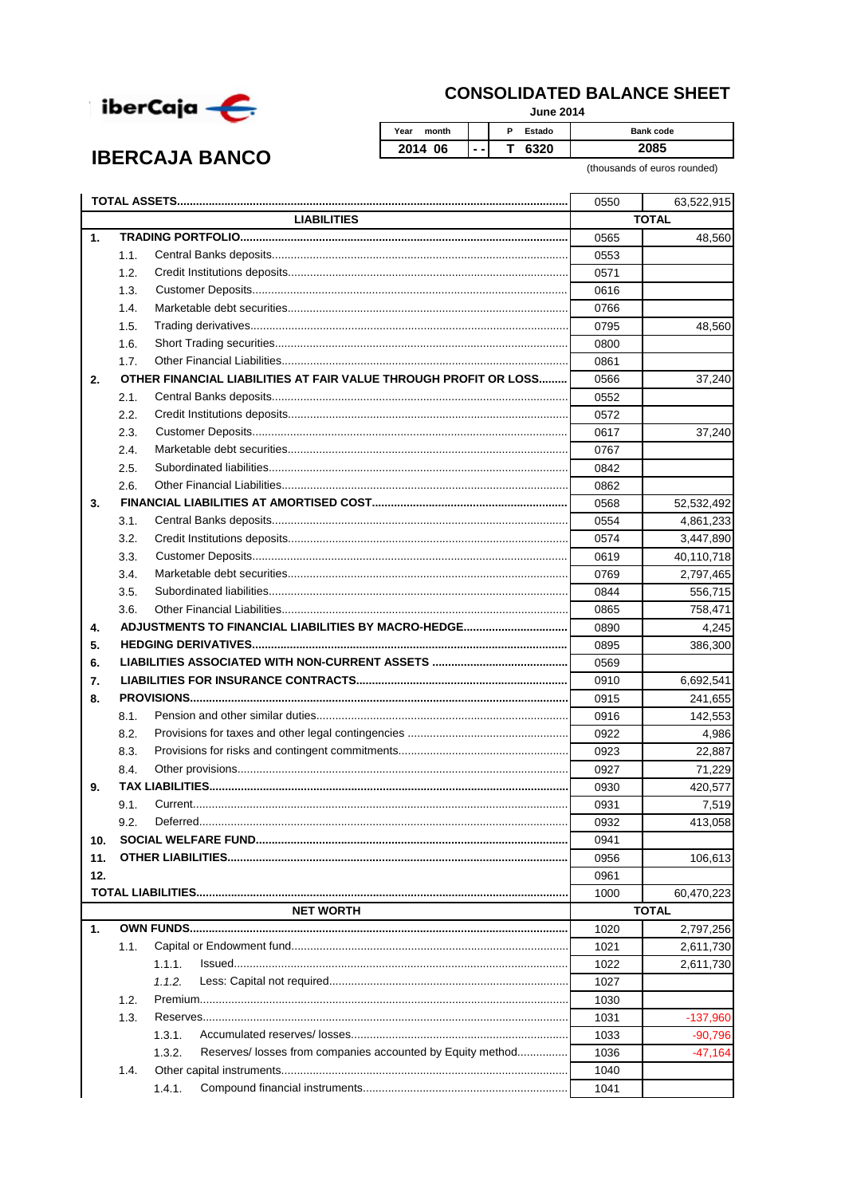

**IBERCAJA BANCO** 

## **CONSOLIDATED BALANCE SHEET**

**June 2014** 

Year month  $\overline{P}$ Estado Bank code 2014 06  $\overline{\mathsf{T}}$ 6320 2085 Ξ.

(thousands of euros rounded)

|     |              |                                                                      | 0550 | 63,522,915   |
|-----|--------------|----------------------------------------------------------------------|------|--------------|
|     |              | <b>LIABILITIES</b>                                                   |      | <b>TOTAL</b> |
| 1.  |              |                                                                      | 0565 | 48,560       |
|     | 1.1.         |                                                                      | 0553 |              |
|     | 1.2.         |                                                                      | 0571 |              |
|     | 1.3.         |                                                                      | 0616 |              |
|     | 1.4.         |                                                                      | 0766 |              |
|     | 1.5.         |                                                                      | 0795 | 48,560       |
|     | 1.6.         |                                                                      | 0800 |              |
|     | 1.7.         |                                                                      | 0861 |              |
| 2.  |              | OTHER FINANCIAL LIABILITIES AT FAIR VALUE THROUGH PROFIT OR LOSS     | 0566 | 37,240       |
|     | 2.1.         |                                                                      | 0552 |              |
|     | 2.2.         |                                                                      | 0572 |              |
|     | 2.3.         |                                                                      | 0617 | 37,240       |
|     | 2.4.         |                                                                      | 0767 |              |
|     | 2.5.         |                                                                      | 0842 |              |
|     | 2.6.         |                                                                      | 0862 |              |
| 3.  |              |                                                                      | 0568 | 52,532,492   |
|     | 3.1.         |                                                                      | 0554 | 4,861,233    |
|     | 3.2.         |                                                                      | 0574 | 3,447,890    |
|     | 3.3.         |                                                                      | 0619 | 40,110,718   |
|     | 3.4.         |                                                                      | 0769 | 2,797,465    |
|     | 3.5.         |                                                                      | 0844 | 556,715      |
|     | 3.6.         |                                                                      | 0865 | 758,471      |
| 4.  |              |                                                                      | 0890 | 4,245        |
| 5.  |              |                                                                      | 0895 | 386,300      |
| 6.  |              |                                                                      | 0569 |              |
| 7.  |              |                                                                      | 0910 | 6,692,541    |
| 8.  |              |                                                                      | 0915 | 241,655      |
|     | 8.1.         |                                                                      | 0916 | 142,553      |
|     | 8.2.         |                                                                      | 0922 | 4,986        |
|     | 8.3.         |                                                                      | 0923 | 22,887       |
|     | 8.4.         |                                                                      | 0927 | 71,229       |
| 9.  |              |                                                                      |      |              |
|     |              |                                                                      | 0930 | 420,577      |
|     | 9.1.<br>9.2. |                                                                      | 0931 | 7,519        |
|     |              |                                                                      | 0932 | 413,058      |
| 10. |              |                                                                      | 0941 |              |
| 11. |              |                                                                      | 0956 | 106,613      |
| 12. |              |                                                                      | 0961 |              |
|     |              |                                                                      | 1000 | 60,470,223   |
|     |              | <b>NET WORTH</b>                                                     |      | <b>TOTAL</b> |
| 1.  |              |                                                                      | 1020 | 2,797,256    |
|     | 1.1.         |                                                                      | 1021 | 2,611,730    |
|     |              | 1.1.1.                                                               | 1022 | 2,611,730    |
|     |              | 1.1.2.                                                               | 1027 |              |
|     | 1.2.         |                                                                      | 1030 |              |
|     | 1.3.         |                                                                      | 1031 | $-137,960$   |
|     |              | 1.3.1.                                                               | 1033 | $-90,796$    |
|     |              | Reserves/ losses from companies accounted by Equity method<br>1.3.2. | 1036 | $-47,164$    |
|     | 1.4.         |                                                                      | 1040 |              |
|     |              | 1.4.1.                                                               | 1041 |              |